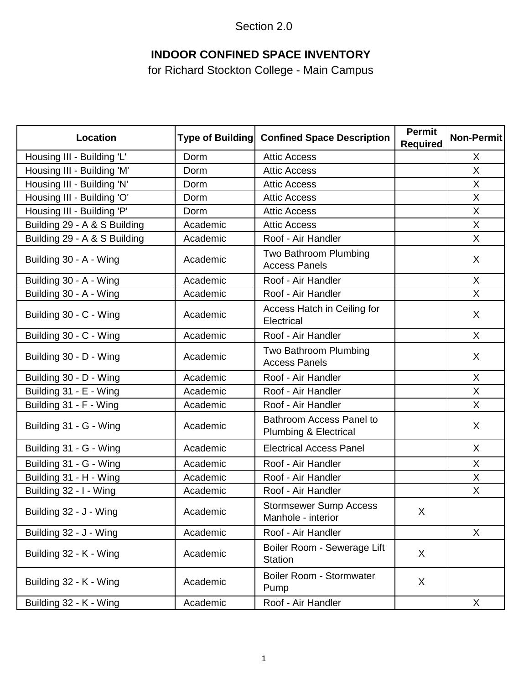Section 2.0

### **INDOOR CONFINED SPACE INVENTORY**

for Richard Stockton College - Main Campus

| <b>Location</b>              | <b>Type of Building</b> | <b>Confined Space Description</b>                                   | <b>Permit</b><br><b>Required</b> | Non-Permit |
|------------------------------|-------------------------|---------------------------------------------------------------------|----------------------------------|------------|
| Housing III - Building 'L'   | Dorm                    | <b>Attic Access</b>                                                 |                                  | X          |
| Housing III - Building 'M'   | Dorm                    | <b>Attic Access</b>                                                 |                                  | X          |
| Housing III - Building 'N'   | Dorm                    | <b>Attic Access</b>                                                 |                                  | X          |
| Housing III - Building 'O'   | Dorm                    | <b>Attic Access</b>                                                 |                                  | X          |
| Housing III - Building 'P'   | Dorm                    | <b>Attic Access</b>                                                 |                                  | X          |
| Building 29 - A & S Building | Academic                | <b>Attic Access</b>                                                 |                                  | X          |
| Building 29 - A & S Building | Academic                | Roof - Air Handler                                                  |                                  | X          |
| Building 30 - A - Wing       | Academic                | Two Bathroom Plumbing<br><b>Access Panels</b>                       |                                  | X          |
| Building 30 - A - Wing       | Academic                | Roof - Air Handler                                                  |                                  | X          |
| Building 30 - A - Wing       | Academic                | Roof - Air Handler                                                  |                                  | X          |
| Building 30 - C - Wing       | Academic                | Access Hatch in Ceiling for<br>Electrical                           |                                  | X          |
| Building 30 - C - Wing       | Academic                | Roof - Air Handler                                                  |                                  | X          |
| Building 30 - D - Wing       | Academic                | Two Bathroom Plumbing<br><b>Access Panels</b>                       |                                  | X          |
| Building 30 - D - Wing       | Academic                | Roof - Air Handler                                                  |                                  | X          |
| Building 31 - E - Wing       | Academic                | Roof - Air Handler                                                  |                                  | X          |
| Building 31 - F - Wing       | Academic                | Roof - Air Handler                                                  |                                  | X          |
| Building 31 - G - Wing       | Academic                | <b>Bathroom Access Panel to</b><br><b>Plumbing &amp; Electrical</b> |                                  | X          |
| Building 31 - G - Wing       | Academic                | <b>Electrical Access Panel</b>                                      |                                  | X          |
| Building 31 - G - Wing       | Academic                | Roof - Air Handler                                                  |                                  | X          |
| Building 31 - H - Wing       | Academic                | Roof - Air Handler                                                  |                                  | X          |
| Building 32 - I - Wing       | Academic                | Roof - Air Handler                                                  |                                  | X          |
| Building 32 - J - Wing       | Academic                | <b>Stormsewer Sump Access</b><br>Manhole - interior                 | X                                |            |
| Building 32 - J - Wing       | Academic                | Roof - Air Handler                                                  |                                  | X          |
| Building 32 - K - Wing       | Academic                | Boiler Room - Sewerage Lift<br><b>Station</b>                       | X                                |            |
| Building 32 - K - Wing       | Academic                | Boiler Room - Stormwater<br>Pump                                    | X                                |            |
| Building 32 - K - Wing       | Academic                | Roof - Air Handler                                                  |                                  | X          |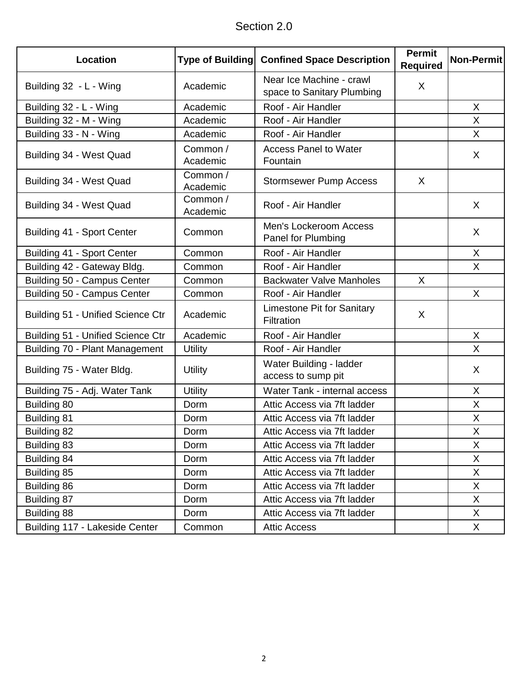| Section 2.0 |  |
|-------------|--|
|-------------|--|

| Location                          | <b>Type of Building</b> | <b>Confined Space Description</b>                      | <b>Permit</b><br><b>Required</b> | Non-Permit   |
|-----------------------------------|-------------------------|--------------------------------------------------------|----------------------------------|--------------|
| Building 32 - L - Wing            | Academic                | Near Ice Machine - crawl<br>space to Sanitary Plumbing | X                                |              |
| Building 32 - L - Wing            | Academic                | Roof - Air Handler                                     |                                  | X            |
| Building 32 - M - Wing            | Academic                | Roof - Air Handler                                     |                                  | X            |
| Building 33 - N - Wing            | Academic                | Roof - Air Handler                                     |                                  | X            |
| Building 34 - West Quad           | Common /<br>Academic    | <b>Access Panel to Water</b><br>Fountain               |                                  | X            |
| Building 34 - West Quad           | Common /<br>Academic    | <b>Stormsewer Pump Access</b>                          | $\sf X$                          |              |
| Building 34 - West Quad           | Common /<br>Academic    | Roof - Air Handler                                     |                                  | X            |
| Building 41 - Sport Center        | Common                  | Men's Lockeroom Access<br>Panel for Plumbing           |                                  | X            |
| Building 41 - Sport Center        | Common                  | Roof - Air Handler                                     |                                  | X            |
| Building 42 - Gateway Bldg.       | Common                  | Roof - Air Handler                                     |                                  | X            |
| Building 50 - Campus Center       | Common                  | <b>Backwater Valve Manholes</b>                        | X                                |              |
| Building 50 - Campus Center       | Common                  | Roof - Air Handler                                     |                                  | X            |
| Building 51 - Unified Science Ctr | Academic                | <b>Limestone Pit for Sanitary</b><br>Filtration        | X                                |              |
| Building 51 - Unified Science Ctr | Academic                | Roof - Air Handler                                     |                                  | X            |
| Building 70 - Plant Management    | <b>Utility</b>          | Roof - Air Handler                                     |                                  | X            |
| Building 75 - Water Bldg.         | <b>Utility</b>          | Water Building - ladder<br>access to sump pit          |                                  | X            |
| Building 75 - Adj. Water Tank     | <b>Utility</b>          | Water Tank - internal access                           |                                  | X            |
| Building 80                       | Dorm                    | Attic Access via 7ft ladder                            |                                  | $\sf X$      |
| <b>Building 81</b>                | Dorm                    | Attic Access via 7ft ladder                            |                                  | X            |
| <b>Building 82</b>                | Dorm                    | Attic Access via 7ft ladder                            |                                  | X            |
| Building 83                       | Dorm                    | Attic Access via 7ft ladder                            |                                  | X            |
| Building 84                       | Dorm                    | Attic Access via 7ft ladder                            |                                  | X            |
| Building 85                       | Dorm                    | Attic Access via 7ft ladder                            |                                  | X            |
| Building 86                       | Dorm                    | Attic Access via 7ft ladder                            |                                  | X            |
| Building 87                       | Dorm                    | Attic Access via 7ft ladder                            |                                  | X            |
| Building 88                       | Dorm                    | Attic Access via 7ft ladder                            |                                  | $\mathsf{X}$ |
| Building 117 - Lakeside Center    | Common                  | <b>Attic Access</b>                                    |                                  | X            |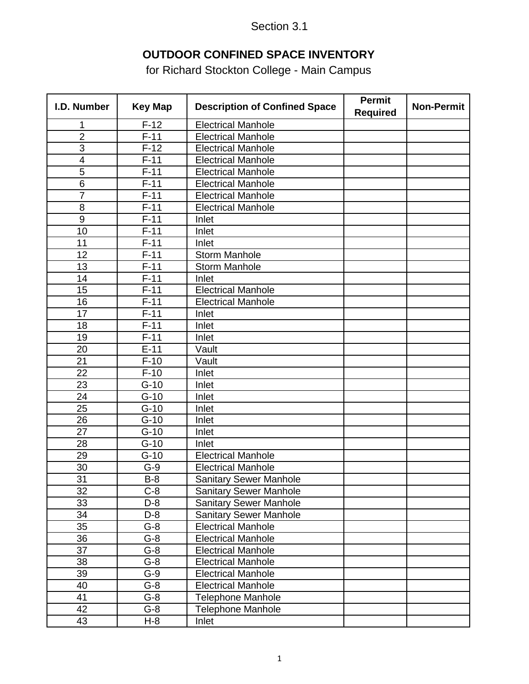### **OUTDOOR CONFINED SPACE INVENTORY**

for Richard Stockton College - Main Campus

| I.D. Number             | <b>Key Map</b> | <b>Description of Confined Space</b> | <b>Permit</b><br><b>Required</b> | <b>Non-Permit</b> |
|-------------------------|----------------|--------------------------------------|----------------------------------|-------------------|
| 1                       | $F-12$         | <b>Electrical Manhole</b>            |                                  |                   |
| $\overline{2}$          | $F-11$         | <b>Electrical Manhole</b>            |                                  |                   |
| 3                       | $F-12$         | <b>Electrical Manhole</b>            |                                  |                   |
| $\overline{\mathbf{4}}$ | $F-11$         | <b>Electrical Manhole</b>            |                                  |                   |
| 5                       | $F-11$         | <b>Electrical Manhole</b>            |                                  |                   |
| 6                       | $F-11$         | <b>Electrical Manhole</b>            |                                  |                   |
| $\overline{7}$          | $F-11$         | <b>Electrical Manhole</b>            |                                  |                   |
| 8                       | $F-11$         | <b>Electrical Manhole</b>            |                                  |                   |
| $\overline{9}$          | $F-11$         | Inlet                                |                                  |                   |
| 10                      | $F-11$         | Inlet                                |                                  |                   |
| 11                      | $F-11$         | Inlet                                |                                  |                   |
| 12                      | $F-11$         | <b>Storm Manhole</b>                 |                                  |                   |
| 13                      | $F-11$         | <b>Storm Manhole</b>                 |                                  |                   |
| 14                      | $F-11$         | Inlet                                |                                  |                   |
| 15                      | $F-11$         | <b>Electrical Manhole</b>            |                                  |                   |
| 16                      | $F-11$         | <b>Electrical Manhole</b>            |                                  |                   |
| 17                      | $F-11$         | Inlet                                |                                  |                   |
| 18                      | $F-11$         | Inlet                                |                                  |                   |
| 19                      | $F-11$         | Inlet                                |                                  |                   |
| 20                      | $E-11$         | Vault                                |                                  |                   |
| 21                      | $F-10$         | $\overline{\mathsf{V}}$ ault         |                                  |                   |
| 22                      | $F-10$         | Inlet                                |                                  |                   |
| 23                      | $G-10$         | Inlet                                |                                  |                   |
| 24                      | $G-10$         | Inlet                                |                                  |                   |
| 25                      | $G-10$         | Inlet                                |                                  |                   |
| 26                      | $G-10$         | Inlet                                |                                  |                   |
| 27                      | $G-10$         | Inlet                                |                                  |                   |
| 28                      | $G-10$         | Inlet                                |                                  |                   |
| 29                      | $G-10$         | <b>Electrical Manhole</b>            |                                  |                   |
| 30                      | $G-9$          | <b>Electrical Manhole</b>            |                                  |                   |
| 31                      | <u>B-8</u>     | <b>Sanitary Sewer Manhole</b>        |                                  |                   |
| 32                      | $C-8$          | <b>Sanitary Sewer Manhole</b>        |                                  |                   |
| 33                      | D-8            | <b>Sanitary Sewer Manhole</b>        |                                  |                   |
| 34                      | $D-8$          | <b>Sanitary Sewer Manhole</b>        |                                  |                   |
| 35                      | $G-8$          | <b>Electrical Manhole</b>            |                                  |                   |
| 36                      | $G-8$          | <b>Electrical Manhole</b>            |                                  |                   |
| 37                      | $G-8$          | <b>Electrical Manhole</b>            |                                  |                   |
| 38                      | $G-8$          | <b>Electrical Manhole</b>            |                                  |                   |
| 39                      | $G-9$          | <b>Electrical Manhole</b>            |                                  |                   |
| 40                      | $G-8$          | <b>Electrical Manhole</b>            |                                  |                   |
| 41                      | $G-8$          | <b>Telephone Manhole</b>             |                                  |                   |
| 42                      | $G-8$          | <b>Telephone Manhole</b>             |                                  |                   |
| 43                      | H-8            | Inlet                                |                                  |                   |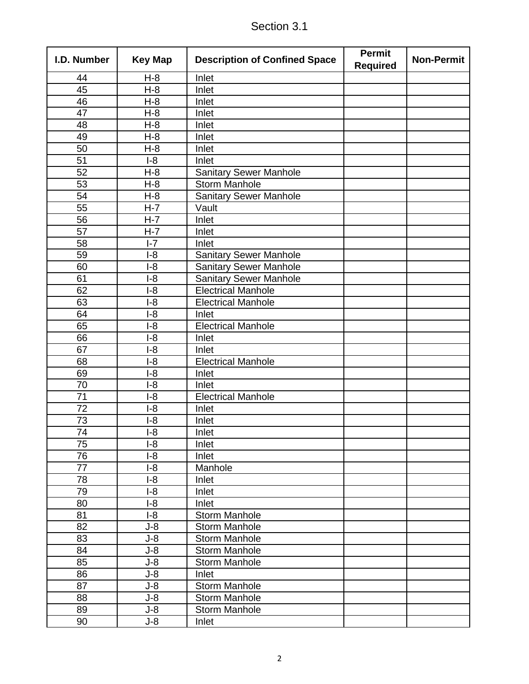| I.D. Number | <b>Key Map</b>   | <b>Description of Confined Space</b> | <b>Permit</b><br><b>Required</b> | <b>Non-Permit</b> |
|-------------|------------------|--------------------------------------|----------------------------------|-------------------|
| 44          | $H-8$            | Inlet                                |                                  |                   |
| 45          | $\overline{H-8}$ | Inlet                                |                                  |                   |
| 46          | $H-8$            | Inlet                                |                                  |                   |
| 47          | $H-8$            | Inlet                                |                                  |                   |
| 48          | $H-8$            | Inlet                                |                                  |                   |
| 49          | $H-8$            | Inlet                                |                                  |                   |
| 50          | $H-8$            | Inlet                                |                                  |                   |
| 51          | $I-8$            | Inlet                                |                                  |                   |
| 52          | $H-8$            | <b>Sanitary Sewer Manhole</b>        |                                  |                   |
| 53          | $H-8$            | <b>Storm Manhole</b>                 |                                  |                   |
| 54          | $H-8$            | <b>Sanitary Sewer Manhole</b>        |                                  |                   |
| 55          | $H-7$            | Vault                                |                                  |                   |
| 56          | $H-7$            | Inlet                                |                                  |                   |
| 57          | $H-7$            | Inlet                                |                                  |                   |
| 58          | $I - 7$          | Inlet                                |                                  |                   |
| 59          | $I-8$            | <b>Sanitary Sewer Manhole</b>        |                                  |                   |
| 60          | $I-8$            | <b>Sanitary Sewer Manhole</b>        |                                  |                   |
| 61          | $I-8$            | <b>Sanitary Sewer Manhole</b>        |                                  |                   |
| 62          | $I-8$            | <b>Electrical Manhole</b>            |                                  |                   |
| 63          | $I-8$            | <b>Electrical Manhole</b>            |                                  |                   |
| 64          | $I-8$            | Inlet                                |                                  |                   |
| 65          | $I-8$            | <b>Electrical Manhole</b>            |                                  |                   |
| 66          | $I-8$            | Inlet                                |                                  |                   |
| 67          | $I-8$            | Inlet                                |                                  |                   |
| 68          | $I-8$            | <b>Electrical Manhole</b>            |                                  |                   |
| 69          | $I-8$            | Inlet                                |                                  |                   |
| 70          | $I-8$            | Inlet                                |                                  |                   |
| 71          | $I-8$            | <b>Electrical Manhole</b>            |                                  |                   |
| 72          | $I-8$            | Inlet                                |                                  |                   |
| 73          | $I-8$            | Inlet                                |                                  |                   |
| 74          | $I-8$            | Inlet                                |                                  |                   |
| 75          | $I-8$            | Inlet                                |                                  |                   |
| 76          | $I-8$            | Inlet                                |                                  |                   |
| 77          | $I-8$            | Manhole                              |                                  |                   |
| 78          | $I-8$            | Inlet                                |                                  |                   |
| 79          | $I-8$            | Inlet                                |                                  |                   |
| 80          | $I-8$            | Inlet                                |                                  |                   |
| 81          | $I-8$            | <b>Storm Manhole</b>                 |                                  |                   |
| 82          | $J-8$            | <b>Storm Manhole</b>                 |                                  |                   |
| 83          | $J-8$            | <b>Storm Manhole</b>                 |                                  |                   |
| 84          | $J-8$            | <b>Storm Manhole</b>                 |                                  |                   |
| 85          | $J-8$            | <b>Storm Manhole</b>                 |                                  |                   |
| 86          | $J-8$            | Inlet                                |                                  |                   |
| 87          | $J-8$            | <b>Storm Manhole</b>                 |                                  |                   |
| 88          | $J-8$            | <b>Storm Manhole</b>                 |                                  |                   |
| 89          | $J-8$            | <b>Storm Manhole</b>                 |                                  |                   |
| 90          | J-8              | Inlet                                |                                  |                   |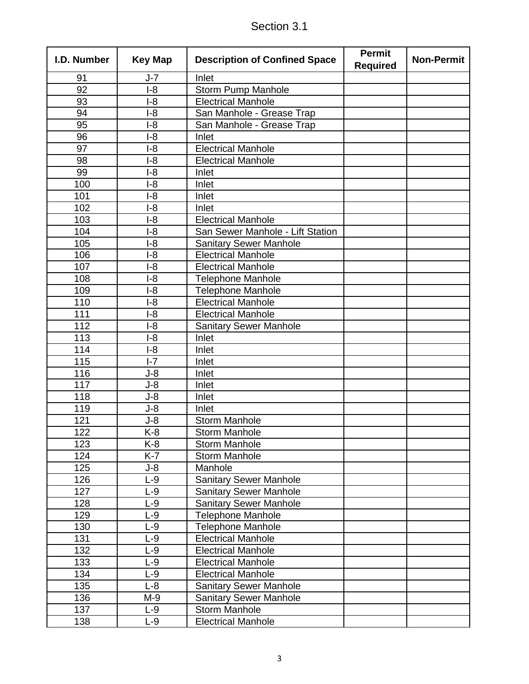| Section 3.1 |
|-------------|
|-------------|

| I.D. Number     | <b>Key Map</b>   | <b>Description of Confined Space</b> | <b>Permit</b><br><b>Required</b> | <b>Non-Permit</b> |
|-----------------|------------------|--------------------------------------|----------------------------------|-------------------|
| 91              | $J-7$            | Inlet                                |                                  |                   |
| $\overline{92}$ | $\overline{1-8}$ | <b>Storm Pump Manhole</b>            |                                  |                   |
| 93              | $I-8$            | <b>Electrical Manhole</b>            |                                  |                   |
| 94              | $I-8$            | San Manhole - Grease Trap            |                                  |                   |
| 95              | $I-8$            | San Manhole - Grease Trap            |                                  |                   |
| 96              | $I-8$            | Inlet                                |                                  |                   |
| 97              | $I-8$            | <b>Electrical Manhole</b>            |                                  |                   |
| 98              | $I-8$            | <b>Electrical Manhole</b>            |                                  |                   |
| 99              | $I-8$            | Inlet                                |                                  |                   |
| 100             | $I-8$            | Inlet                                |                                  |                   |
| 101             | $I-8$            | Inlet                                |                                  |                   |
| 102             | $I-8$            | Inlet                                |                                  |                   |
| 103             | $I-8$            | <b>Electrical Manhole</b>            |                                  |                   |
| 104             | $I-8$            | San Sewer Manhole - Lift Station     |                                  |                   |
| 105             | $I-8$            | <b>Sanitary Sewer Manhole</b>        |                                  |                   |
| 106             | $I-8$            | <b>Electrical Manhole</b>            |                                  |                   |
| 107             | $I-8$            | <b>Electrical Manhole</b>            |                                  |                   |
| 108             | $I-8$            | <b>Telephone Manhole</b>             |                                  |                   |
| 109             | $I-8$            | <b>Telephone Manhole</b>             |                                  |                   |
| 110             | $I-8$            | <b>Electrical Manhole</b>            |                                  |                   |
| 111             | $I-8$            | <b>Electrical Manhole</b>            |                                  |                   |
| 112             | $I-8$            | <b>Sanitary Sewer Manhole</b>        |                                  |                   |
| 113             | $I-8$            | Inlet                                |                                  |                   |
| 114             | $I-8$            | Inlet                                |                                  |                   |
| 115             | $I - 7$          | Inlet                                |                                  |                   |
| 116             | $J-8$            | Inlet                                |                                  |                   |
| 117             | $J-8$            | Inlet                                |                                  |                   |
| 118             | $J-8$            | Inlet                                |                                  |                   |
| 119             | $J-8$            | Inlet                                |                                  |                   |
| 121             | $J-8$            | <b>Storm Manhole</b>                 |                                  |                   |
| 122             | K-8              | <b>Storm Manhole</b>                 |                                  |                   |
| 123             | K-8              | <b>Storm Manhole</b>                 |                                  |                   |
| 124             | $K-7$            | <b>Storm Manhole</b>                 |                                  |                   |
| 125             | $J-8$            | Manhole                              |                                  |                   |
| 126             | $L-9$            | <b>Sanitary Sewer Manhole</b>        |                                  |                   |
| 127             | $L-9$            | <b>Sanitary Sewer Manhole</b>        |                                  |                   |
| 128             | $L-9$            | <b>Sanitary Sewer Manhole</b>        |                                  |                   |
| 129             | $L-9$            | <b>Telephone Manhole</b>             |                                  |                   |
| 130             | $L-9$            | <b>Telephone Manhole</b>             |                                  |                   |
| 131             | $L-9$            | <b>Electrical Manhole</b>            |                                  |                   |
| 132             | $L-9$            | <b>Electrical Manhole</b>            |                                  |                   |
| 133             | $L-9$            | <b>Electrical Manhole</b>            |                                  |                   |
| 134             | $L-9$            | <b>Electrical Manhole</b>            |                                  |                   |
| 135             | $L-8$            | <b>Sanitary Sewer Manhole</b>        |                                  |                   |
| 136             | M-9              | <b>Sanitary Sewer Manhole</b>        |                                  |                   |
| 137             | $L-9$            | <b>Storm Manhole</b>                 |                                  |                   |
| 138             | $L-9$            | <b>Electrical Manhole</b>            |                                  |                   |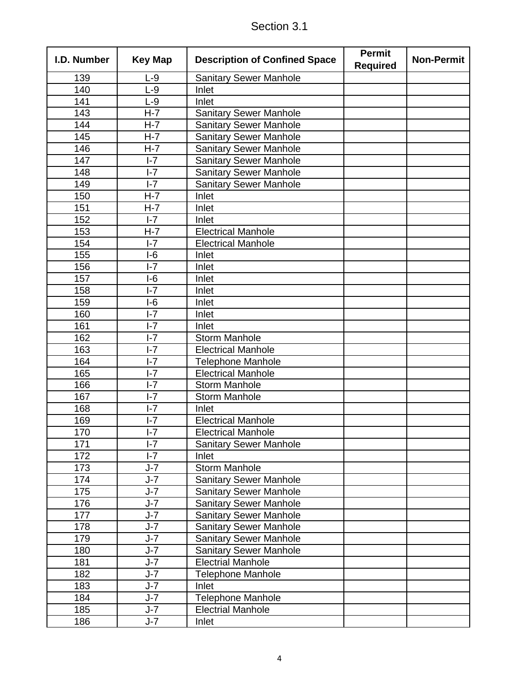| I.D. Number | <b>Key Map</b>     | <b>Description of Confined Space</b> | <b>Permit</b><br><b>Required</b> | <b>Non-Permit</b> |
|-------------|--------------------|--------------------------------------|----------------------------------|-------------------|
| 139         | $L-9$              | <b>Sanitary Sewer Manhole</b>        |                                  |                   |
| 140         | $L-9$              | Inlet                                |                                  |                   |
| 141         | $L-9$              | Inlet                                |                                  |                   |
| 143         | $H-7$              | <b>Sanitary Sewer Manhole</b>        |                                  |                   |
| 144         | $H - 7$            | <b>Sanitary Sewer Manhole</b>        |                                  |                   |
| 145         | $H-7$              | <b>Sanitary Sewer Manhole</b>        |                                  |                   |
| 146         | $H-7$              | <b>Sanitary Sewer Manhole</b>        |                                  |                   |
| 147         | $I - 7$            | <b>Sanitary Sewer Manhole</b>        |                                  |                   |
| 148         | $I - 7$            | <b>Sanitary Sewer Manhole</b>        |                                  |                   |
| 149         | $I - 7$            | <b>Sanitary Sewer Manhole</b>        |                                  |                   |
| 150         | $H-7$              | Inlet                                |                                  |                   |
| 151         | $H - 7$            | Inlet                                |                                  |                   |
| 152         | $I - 7$            | Inlet                                |                                  |                   |
| 153         | $H-7$              | <b>Electrical Manhole</b>            |                                  |                   |
| 154         | $I - 7$            | <b>Electrical Manhole</b>            |                                  |                   |
| 155         | $I-6$              | Inlet                                |                                  |                   |
| 156         | $I - 7$            | Inlet                                |                                  |                   |
| 157         | $I-6$              | Inlet                                |                                  |                   |
| 158         | $I - 7$            | Inlet                                |                                  |                   |
| 159         | $I-6$              | Inlet                                |                                  |                   |
| 160         | $I - 7$            | Inlet                                |                                  |                   |
| 161         | $I - 7$            | Inlet                                |                                  |                   |
| 162         | $I - 7$            | <b>Storm Manhole</b>                 |                                  |                   |
| 163         | $I - 7$            | <b>Electrical Manhole</b>            |                                  |                   |
| 164         | $I - 7$            | <b>Telephone Manhole</b>             |                                  |                   |
| 165         | $I - 7$            | <b>Electrical Manhole</b>            |                                  |                   |
| 166         | $I - 7$            | <b>Storm Manhole</b>                 |                                  |                   |
| 167         | $I - 7$            | <b>Storm Manhole</b>                 |                                  |                   |
| 168         | $I - 7$            | Inlet                                |                                  |                   |
| 169         | $I - 7$            | <b>Electrical Manhole</b>            |                                  |                   |
| 170         | $I - 7$            | <b>Electrical Manhole</b>            |                                  |                   |
| 171         | $I - 7$            | <b>Sanitary Sewer Manhole</b>        |                                  |                   |
| 172         | $I - 7$            | Inlet                                |                                  |                   |
| 173         | $J - 7$            | <b>Storm Manhole</b>                 |                                  |                   |
| 174         | $J-7$              | <b>Sanitary Sewer Manhole</b>        |                                  |                   |
| 175         | J-7                | <b>Sanitary Sewer Manhole</b>        |                                  |                   |
| 176         | $J - 7$            | <b>Sanitary Sewer Manhole</b>        |                                  |                   |
| 177         | $J - 7$            | <b>Sanitary Sewer Manhole</b>        |                                  |                   |
| 178         | $J-7$              | <b>Sanitary Sewer Manhole</b>        |                                  |                   |
| 179         | $J - 7$            | <b>Sanitary Sewer Manhole</b>        |                                  |                   |
| 180         | $J - 7$            | <b>Sanitary Sewer Manhole</b>        |                                  |                   |
| 181         | $J - 7$            | <b>Electrial Manhole</b>             |                                  |                   |
| 182         | $J-7$              | <b>Telephone Manhole</b>             |                                  |                   |
| 183         | $J - 7$            | Inlet                                |                                  |                   |
| 184         | $J - 7$            | Telephone Manhole                    |                                  |                   |
| 185         |                    |                                      |                                  |                   |
| 186         | $J - 7$<br>$J - 7$ | <b>Electrial Manhole</b>             |                                  |                   |
|             |                    | Inlet                                |                                  |                   |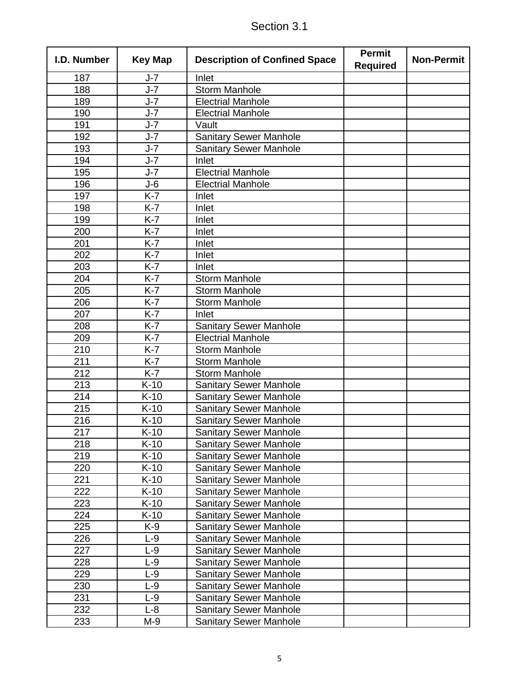| I.D. Number | <b>Key Map</b> | <b>Description of Confined Space</b> | <b>Permit</b><br><b>Required</b> | <b>Non-Permit</b> |
|-------------|----------------|--------------------------------------|----------------------------------|-------------------|
| 187         | J-7            | Inlet                                |                                  |                   |
| 188         | $J - 7$        | <b>Storm Manhole</b>                 |                                  |                   |
| 189         | $J-7$          | <b>Electrial Manhole</b>             |                                  |                   |
| 190         | $J-7$          | <b>Electrial Manhole</b>             |                                  |                   |
| 191         | $J-7$          | Vault                                |                                  |                   |
| 192         | $J - 7$        | <b>Sanitary Sewer Manhole</b>        |                                  |                   |
| 193         | $J-7$          | <b>Sanitary Sewer Manhole</b>        |                                  |                   |
| 194         | $J-7$          | Inlet                                |                                  |                   |
| 195         | $J - 7$        | <b>Electrial Manhole</b>             |                                  |                   |
| 196         | $J-6$          | <b>Electrial Manhole</b>             |                                  |                   |
| 197         | $K-7$          | Inlet                                |                                  |                   |
| 198         | $K-7$          | Inlet                                |                                  |                   |
| 199         | $K-7$          | Inlet                                |                                  |                   |
| 200         | $K-7$          | Inlet                                |                                  |                   |
| 201         | $K-7$          | Inlet                                |                                  |                   |
| 202         | $K-7$          | Inlet                                |                                  |                   |
| 203         | $K-7$          | Inlet                                |                                  |                   |
| 204         | $K-7$          | <b>Storm Manhole</b>                 |                                  |                   |
| 205         | $K-7$          | <b>Storm Manhole</b>                 |                                  |                   |
| 206         | $K-7$          | <b>Storm Manhole</b>                 |                                  |                   |
| 207         | $K-7$          | Inlet                                |                                  |                   |
| 208         | $K-7$          | <b>Sanitary Sewer Manhole</b>        |                                  |                   |
| 209         | $K-7$          | <b>Electrial Manhole</b>             |                                  |                   |
| 210         | $K-7$          | <b>Storm Manhole</b>                 |                                  |                   |
| 211         | $K-7$          | <b>Storm Manhole</b>                 |                                  |                   |
| 212         | $K-7$          | <b>Storm Manhole</b>                 |                                  |                   |
| 213         | $K-10$         | <b>Sanitary Sewer Manhole</b>        |                                  |                   |
| 214         | $K-10$         | <b>Sanitary Sewer Manhole</b>        |                                  |                   |
| 215         | $K-10$         | <b>Sanitary Sewer Manhole</b>        |                                  |                   |
| 216         | $K-10$         | <b>Sanitary Sewer Manhole</b>        |                                  |                   |
| 217         | $K-10$         | <b>Sanitary Sewer Manhole</b>        |                                  |                   |
| 218         | $K-10$         | <b>Sanitary Sewer Manhole</b>        |                                  |                   |
| 219         | $K-10$         | <b>Sanitary Sewer Manhole</b>        |                                  |                   |
| 220         | $K-10$         | <b>Sanitary Sewer Manhole</b>        |                                  |                   |
| 221         | $K-10$         | <b>Sanitary Sewer Manhole</b>        |                                  |                   |
| 222         | $K-10$         | <b>Sanitary Sewer Manhole</b>        |                                  |                   |
| 223         | $K-10$         | <b>Sanitary Sewer Manhole</b>        |                                  |                   |
| 224         | $K-10$         | <b>Sanitary Sewer Manhole</b>        |                                  |                   |
| 225         | K-9            | <b>Sanitary Sewer Manhole</b>        |                                  |                   |
| 226         | $L-9$          | <b>Sanitary Sewer Manhole</b>        |                                  |                   |
| 227         | $L-9$          | <b>Sanitary Sewer Manhole</b>        |                                  |                   |
| 228         | $L-9$          | <b>Sanitary Sewer Manhole</b>        |                                  |                   |
| 229         | $L-9$          | <b>Sanitary Sewer Manhole</b>        |                                  |                   |
| 230         | L-9            | <b>Sanitary Sewer Manhole</b>        |                                  |                   |
| 231         | $L-9$          | <b>Sanitary Sewer Manhole</b>        |                                  |                   |
| 232         | $L-8$          | <b>Sanitary Sewer Manhole</b>        |                                  |                   |
| 233         | M-9            | <b>Sanitary Sewer Manhole</b>        |                                  |                   |

Section 3.1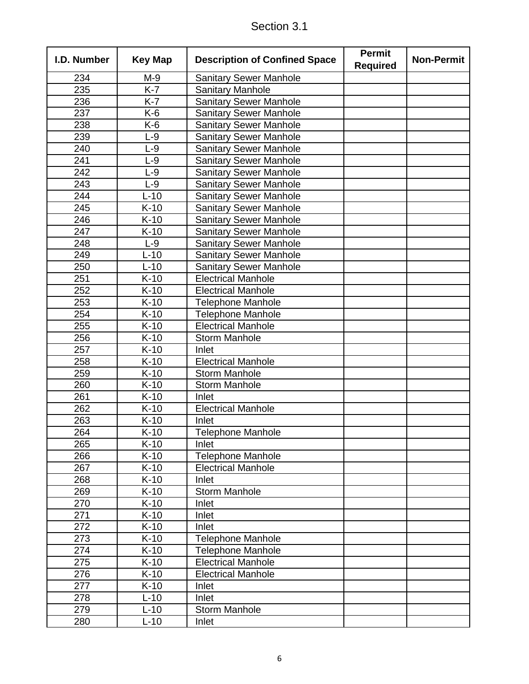|  | Section 3.1 |
|--|-------------|
|  |             |

| I.D. Number | <b>Key Map</b> | <b>Description of Confined Space</b> | <b>Permit</b><br><b>Required</b> | <b>Non-Permit</b> |
|-------------|----------------|--------------------------------------|----------------------------------|-------------------|
| 234         | $M-9$          | <b>Sanitary Sewer Manhole</b>        |                                  |                   |
| 235         | $K-7$          | <b>Sanitary Manhole</b>              |                                  |                   |
| 236         | $K-7$          | <b>Sanitary Sewer Manhole</b>        |                                  |                   |
| 237         | K-6            | <b>Sanitary Sewer Manhole</b>        |                                  |                   |
| 238         | K-6            | <b>Sanitary Sewer Manhole</b>        |                                  |                   |
| 239         | $L-9$          | <b>Sanitary Sewer Manhole</b>        |                                  |                   |
| 240         | $L-9$          | <b>Sanitary Sewer Manhole</b>        |                                  |                   |
| 241         | $L-9$          | <b>Sanitary Sewer Manhole</b>        |                                  |                   |
| 242         | $L-9$          | <b>Sanitary Sewer Manhole</b>        |                                  |                   |
| 243         | $L-9$          | <b>Sanitary Sewer Manhole</b>        |                                  |                   |
| 244         | $L-10$         | <b>Sanitary Sewer Manhole</b>        |                                  |                   |
| 245         | $K-10$         | <b>Sanitary Sewer Manhole</b>        |                                  |                   |
| 246         | $K-10$         | <b>Sanitary Sewer Manhole</b>        |                                  |                   |
| 247         | $K-10$         | <b>Sanitary Sewer Manhole</b>        |                                  |                   |
| 248         | $L-9$          | <b>Sanitary Sewer Manhole</b>        |                                  |                   |
| 249         | $L-10$         | <b>Sanitary Sewer Manhole</b>        |                                  |                   |
| 250         | $L-10$         | <b>Sanitary Sewer Manhole</b>        |                                  |                   |
| 251         | $K-10$         | <b>Electrical Manhole</b>            |                                  |                   |
| 252         | $K-10$         | <b>Electrical Manhole</b>            |                                  |                   |
| 253         | $K-10$         | <b>Telephone Manhole</b>             |                                  |                   |
| 254         | $K-10$         | <b>Telephone Manhole</b>             |                                  |                   |
| 255         | $K-10$         | <b>Electrical Manhole</b>            |                                  |                   |
| 256         | $K-10$         | <b>Storm Manhole</b>                 |                                  |                   |
| 257         | $K-10$         | Inlet                                |                                  |                   |
| 258         | $K-10$         | <b>Electrical Manhole</b>            |                                  |                   |
| 259         | $K-10$         | <b>Storm Manhole</b>                 |                                  |                   |
| 260         | $K-10$         | <b>Storm Manhole</b>                 |                                  |                   |
| 261         | $K-10$         | Inlet                                |                                  |                   |
| 262         | $K-10$         | <b>Electrical Manhole</b>            |                                  |                   |
| 263         | $K-10$         | Inlet                                |                                  |                   |
| 264         | $K-10$         | <b>Telephone Manhole</b>             |                                  |                   |
| 265         | $K-10$         | Inlet                                |                                  |                   |
| 266         | $K-10$         | <b>Telephone Manhole</b>             |                                  |                   |
| 267         | $K-10$         | <b>Electrical Manhole</b>            |                                  |                   |
| 268         | $K-10$         | Inlet                                |                                  |                   |
| 269         | $K-10$         | <b>Storm Manhole</b>                 |                                  |                   |
| 270         | $K-10$         | Inlet                                |                                  |                   |
| 271         | $K-10$         | Inlet                                |                                  |                   |
| 272         | $K-10$         | Inlet                                |                                  |                   |
| 273         | $K-10$         | <b>Telephone Manhole</b>             |                                  |                   |
| 274         | $K-10$         | <b>Telephone Manhole</b>             |                                  |                   |
| 275         | $K-10$         | <b>Electrical Manhole</b>            |                                  |                   |
| 276         | $K-10$         | <b>Electrical Manhole</b>            |                                  |                   |
| 277         | $K-10$         | Inlet                                |                                  |                   |
| 278         | $L-10$         | Inlet                                |                                  |                   |
| 279         | $L-10$         | <b>Storm Manhole</b>                 |                                  |                   |
| 280         | $L-10$         | Inlet                                |                                  |                   |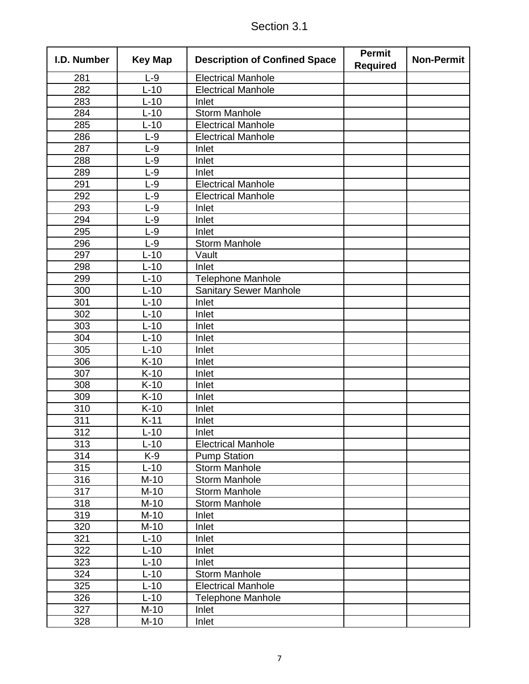| <b>Electrical Manhole</b><br>281<br>$L-9$<br>$\overline{282}$<br>$L-10$<br><b>Electrical Manhole</b><br>283<br>$L-10$<br>Inlet<br>284<br><b>Storm Manhole</b><br>$L-10$<br>285<br>$L-10$<br><b>Electrical Manhole</b><br>286<br>$L-9$<br><b>Electrical Manhole</b><br>287<br>$L-9$<br>Inlet<br>288<br>$L-9$<br>Inlet<br>289<br>$L-9$<br>Inlet<br>291<br>$L-9$<br><b>Electrical Manhole</b><br><b>Electrical Manhole</b><br>292<br>$L-9$<br>293<br>$L-9$<br>Inlet<br>294<br>$L-9$<br>Inlet<br>295<br>$L-9$<br>Inlet<br><b>Storm Manhole</b><br>296<br>$L-9$<br>297<br>$L-10$<br>Vault<br>298<br>$L-10$<br>Inlet<br>299<br>$L-10$<br><b>Telephone Manhole</b><br><b>Sanitary Sewer Manhole</b><br>300<br>$L-10$<br>301<br>$L-10$<br>Inlet<br>302<br>$L-10$<br>Inlet<br>303<br>Inlet<br>$L-10$<br>304<br>$L-10$<br>Inlet<br>305<br>$L-10$<br>Inlet<br>306<br>$K-10$<br>Inlet<br>$K-10$<br>Inlet<br>307<br>308<br>$K-10$<br>Inlet<br>$K-10$<br>309<br>Inlet<br>310<br>$K-10$<br>Inlet<br>311<br>$K-11$<br>Inlet<br>312<br>$L-10$<br>Inlet<br>313<br>$L-10$<br><b>Electrical Manhole</b><br>314<br>K-9<br><b>Pump Station</b><br>315<br>$L-10$<br><b>Storm Manhole</b><br>316<br>$M-10$<br><b>Storm Manhole</b><br>317<br>$M-10$<br><b>Storm Manhole</b><br>318<br>$M-10$<br><b>Storm Manhole</b><br>319<br>$M-10$<br>Inlet<br>$M-10$<br>320<br>Inlet<br>321<br>$L-10$<br>Inlet<br>322<br>$L-10$<br>Inlet<br>323<br>$L-10$<br>Inlet<br>324<br>$L-10$<br><b>Storm Manhole</b><br>325<br>$L-10$<br><b>Electrical Manhole</b><br>326<br>$L-10$<br><b>Telephone Manhole</b><br>$M-10$<br>327<br>Inlet<br>328<br>$M-10$<br>Inlet | I.D. Number | <b>Key Map</b> | <b>Description of Confined Space</b> | <b>Permit</b><br><b>Required</b> | <b>Non-Permit</b> |
|------------------------------------------------------------------------------------------------------------------------------------------------------------------------------------------------------------------------------------------------------------------------------------------------------------------------------------------------------------------------------------------------------------------------------------------------------------------------------------------------------------------------------------------------------------------------------------------------------------------------------------------------------------------------------------------------------------------------------------------------------------------------------------------------------------------------------------------------------------------------------------------------------------------------------------------------------------------------------------------------------------------------------------------------------------------------------------------------------------------------------------------------------------------------------------------------------------------------------------------------------------------------------------------------------------------------------------------------------------------------------------------------------------------------------------------------------------------------------------------------------------------------------------------------------------------------------------------------------------------------|-------------|----------------|--------------------------------------|----------------------------------|-------------------|
|                                                                                                                                                                                                                                                                                                                                                                                                                                                                                                                                                                                                                                                                                                                                                                                                                                                                                                                                                                                                                                                                                                                                                                                                                                                                                                                                                                                                                                                                                                                                                                                                                        |             |                |                                      |                                  |                   |
|                                                                                                                                                                                                                                                                                                                                                                                                                                                                                                                                                                                                                                                                                                                                                                                                                                                                                                                                                                                                                                                                                                                                                                                                                                                                                                                                                                                                                                                                                                                                                                                                                        |             |                |                                      |                                  |                   |
|                                                                                                                                                                                                                                                                                                                                                                                                                                                                                                                                                                                                                                                                                                                                                                                                                                                                                                                                                                                                                                                                                                                                                                                                                                                                                                                                                                                                                                                                                                                                                                                                                        |             |                |                                      |                                  |                   |
|                                                                                                                                                                                                                                                                                                                                                                                                                                                                                                                                                                                                                                                                                                                                                                                                                                                                                                                                                                                                                                                                                                                                                                                                                                                                                                                                                                                                                                                                                                                                                                                                                        |             |                |                                      |                                  |                   |
|                                                                                                                                                                                                                                                                                                                                                                                                                                                                                                                                                                                                                                                                                                                                                                                                                                                                                                                                                                                                                                                                                                                                                                                                                                                                                                                                                                                                                                                                                                                                                                                                                        |             |                |                                      |                                  |                   |
|                                                                                                                                                                                                                                                                                                                                                                                                                                                                                                                                                                                                                                                                                                                                                                                                                                                                                                                                                                                                                                                                                                                                                                                                                                                                                                                                                                                                                                                                                                                                                                                                                        |             |                |                                      |                                  |                   |
|                                                                                                                                                                                                                                                                                                                                                                                                                                                                                                                                                                                                                                                                                                                                                                                                                                                                                                                                                                                                                                                                                                                                                                                                                                                                                                                                                                                                                                                                                                                                                                                                                        |             |                |                                      |                                  |                   |
|                                                                                                                                                                                                                                                                                                                                                                                                                                                                                                                                                                                                                                                                                                                                                                                                                                                                                                                                                                                                                                                                                                                                                                                                                                                                                                                                                                                                                                                                                                                                                                                                                        |             |                |                                      |                                  |                   |
|                                                                                                                                                                                                                                                                                                                                                                                                                                                                                                                                                                                                                                                                                                                                                                                                                                                                                                                                                                                                                                                                                                                                                                                                                                                                                                                                                                                                                                                                                                                                                                                                                        |             |                |                                      |                                  |                   |
|                                                                                                                                                                                                                                                                                                                                                                                                                                                                                                                                                                                                                                                                                                                                                                                                                                                                                                                                                                                                                                                                                                                                                                                                                                                                                                                                                                                                                                                                                                                                                                                                                        |             |                |                                      |                                  |                   |
|                                                                                                                                                                                                                                                                                                                                                                                                                                                                                                                                                                                                                                                                                                                                                                                                                                                                                                                                                                                                                                                                                                                                                                                                                                                                                                                                                                                                                                                                                                                                                                                                                        |             |                |                                      |                                  |                   |
|                                                                                                                                                                                                                                                                                                                                                                                                                                                                                                                                                                                                                                                                                                                                                                                                                                                                                                                                                                                                                                                                                                                                                                                                                                                                                                                                                                                                                                                                                                                                                                                                                        |             |                |                                      |                                  |                   |
|                                                                                                                                                                                                                                                                                                                                                                                                                                                                                                                                                                                                                                                                                                                                                                                                                                                                                                                                                                                                                                                                                                                                                                                                                                                                                                                                                                                                                                                                                                                                                                                                                        |             |                |                                      |                                  |                   |
|                                                                                                                                                                                                                                                                                                                                                                                                                                                                                                                                                                                                                                                                                                                                                                                                                                                                                                                                                                                                                                                                                                                                                                                                                                                                                                                                                                                                                                                                                                                                                                                                                        |             |                |                                      |                                  |                   |
|                                                                                                                                                                                                                                                                                                                                                                                                                                                                                                                                                                                                                                                                                                                                                                                                                                                                                                                                                                                                                                                                                                                                                                                                                                                                                                                                                                                                                                                                                                                                                                                                                        |             |                |                                      |                                  |                   |
|                                                                                                                                                                                                                                                                                                                                                                                                                                                                                                                                                                                                                                                                                                                                                                                                                                                                                                                                                                                                                                                                                                                                                                                                                                                                                                                                                                                                                                                                                                                                                                                                                        |             |                |                                      |                                  |                   |
|                                                                                                                                                                                                                                                                                                                                                                                                                                                                                                                                                                                                                                                                                                                                                                                                                                                                                                                                                                                                                                                                                                                                                                                                                                                                                                                                                                                                                                                                                                                                                                                                                        |             |                |                                      |                                  |                   |
|                                                                                                                                                                                                                                                                                                                                                                                                                                                                                                                                                                                                                                                                                                                                                                                                                                                                                                                                                                                                                                                                                                                                                                                                                                                                                                                                                                                                                                                                                                                                                                                                                        |             |                |                                      |                                  |                   |
|                                                                                                                                                                                                                                                                                                                                                                                                                                                                                                                                                                                                                                                                                                                                                                                                                                                                                                                                                                                                                                                                                                                                                                                                                                                                                                                                                                                                                                                                                                                                                                                                                        |             |                |                                      |                                  |                   |
|                                                                                                                                                                                                                                                                                                                                                                                                                                                                                                                                                                                                                                                                                                                                                                                                                                                                                                                                                                                                                                                                                                                                                                                                                                                                                                                                                                                                                                                                                                                                                                                                                        |             |                |                                      |                                  |                   |
|                                                                                                                                                                                                                                                                                                                                                                                                                                                                                                                                                                                                                                                                                                                                                                                                                                                                                                                                                                                                                                                                                                                                                                                                                                                                                                                                                                                                                                                                                                                                                                                                                        |             |                |                                      |                                  |                   |
|                                                                                                                                                                                                                                                                                                                                                                                                                                                                                                                                                                                                                                                                                                                                                                                                                                                                                                                                                                                                                                                                                                                                                                                                                                                                                                                                                                                                                                                                                                                                                                                                                        |             |                |                                      |                                  |                   |
|                                                                                                                                                                                                                                                                                                                                                                                                                                                                                                                                                                                                                                                                                                                                                                                                                                                                                                                                                                                                                                                                                                                                                                                                                                                                                                                                                                                                                                                                                                                                                                                                                        |             |                |                                      |                                  |                   |
|                                                                                                                                                                                                                                                                                                                                                                                                                                                                                                                                                                                                                                                                                                                                                                                                                                                                                                                                                                                                                                                                                                                                                                                                                                                                                                                                                                                                                                                                                                                                                                                                                        |             |                |                                      |                                  |                   |
|                                                                                                                                                                                                                                                                                                                                                                                                                                                                                                                                                                                                                                                                                                                                                                                                                                                                                                                                                                                                                                                                                                                                                                                                                                                                                                                                                                                                                                                                                                                                                                                                                        |             |                |                                      |                                  |                   |
|                                                                                                                                                                                                                                                                                                                                                                                                                                                                                                                                                                                                                                                                                                                                                                                                                                                                                                                                                                                                                                                                                                                                                                                                                                                                                                                                                                                                                                                                                                                                                                                                                        |             |                |                                      |                                  |                   |
|                                                                                                                                                                                                                                                                                                                                                                                                                                                                                                                                                                                                                                                                                                                                                                                                                                                                                                                                                                                                                                                                                                                                                                                                                                                                                                                                                                                                                                                                                                                                                                                                                        |             |                |                                      |                                  |                   |
|                                                                                                                                                                                                                                                                                                                                                                                                                                                                                                                                                                                                                                                                                                                                                                                                                                                                                                                                                                                                                                                                                                                                                                                                                                                                                                                                                                                                                                                                                                                                                                                                                        |             |                |                                      |                                  |                   |
|                                                                                                                                                                                                                                                                                                                                                                                                                                                                                                                                                                                                                                                                                                                                                                                                                                                                                                                                                                                                                                                                                                                                                                                                                                                                                                                                                                                                                                                                                                                                                                                                                        |             |                |                                      |                                  |                   |
|                                                                                                                                                                                                                                                                                                                                                                                                                                                                                                                                                                                                                                                                                                                                                                                                                                                                                                                                                                                                                                                                                                                                                                                                                                                                                                                                                                                                                                                                                                                                                                                                                        |             |                |                                      |                                  |                   |
|                                                                                                                                                                                                                                                                                                                                                                                                                                                                                                                                                                                                                                                                                                                                                                                                                                                                                                                                                                                                                                                                                                                                                                                                                                                                                                                                                                                                                                                                                                                                                                                                                        |             |                |                                      |                                  |                   |
|                                                                                                                                                                                                                                                                                                                                                                                                                                                                                                                                                                                                                                                                                                                                                                                                                                                                                                                                                                                                                                                                                                                                                                                                                                                                                                                                                                                                                                                                                                                                                                                                                        |             |                |                                      |                                  |                   |
|                                                                                                                                                                                                                                                                                                                                                                                                                                                                                                                                                                                                                                                                                                                                                                                                                                                                                                                                                                                                                                                                                                                                                                                                                                                                                                                                                                                                                                                                                                                                                                                                                        |             |                |                                      |                                  |                   |
|                                                                                                                                                                                                                                                                                                                                                                                                                                                                                                                                                                                                                                                                                                                                                                                                                                                                                                                                                                                                                                                                                                                                                                                                                                                                                                                                                                                                                                                                                                                                                                                                                        |             |                |                                      |                                  |                   |
|                                                                                                                                                                                                                                                                                                                                                                                                                                                                                                                                                                                                                                                                                                                                                                                                                                                                                                                                                                                                                                                                                                                                                                                                                                                                                                                                                                                                                                                                                                                                                                                                                        |             |                |                                      |                                  |                   |
|                                                                                                                                                                                                                                                                                                                                                                                                                                                                                                                                                                                                                                                                                                                                                                                                                                                                                                                                                                                                                                                                                                                                                                                                                                                                                                                                                                                                                                                                                                                                                                                                                        |             |                |                                      |                                  |                   |
|                                                                                                                                                                                                                                                                                                                                                                                                                                                                                                                                                                                                                                                                                                                                                                                                                                                                                                                                                                                                                                                                                                                                                                                                                                                                                                                                                                                                                                                                                                                                                                                                                        |             |                |                                      |                                  |                   |
|                                                                                                                                                                                                                                                                                                                                                                                                                                                                                                                                                                                                                                                                                                                                                                                                                                                                                                                                                                                                                                                                                                                                                                                                                                                                                                                                                                                                                                                                                                                                                                                                                        |             |                |                                      |                                  |                   |
|                                                                                                                                                                                                                                                                                                                                                                                                                                                                                                                                                                                                                                                                                                                                                                                                                                                                                                                                                                                                                                                                                                                                                                                                                                                                                                                                                                                                                                                                                                                                                                                                                        |             |                |                                      |                                  |                   |
|                                                                                                                                                                                                                                                                                                                                                                                                                                                                                                                                                                                                                                                                                                                                                                                                                                                                                                                                                                                                                                                                                                                                                                                                                                                                                                                                                                                                                                                                                                                                                                                                                        |             |                |                                      |                                  |                   |
|                                                                                                                                                                                                                                                                                                                                                                                                                                                                                                                                                                                                                                                                                                                                                                                                                                                                                                                                                                                                                                                                                                                                                                                                                                                                                                                                                                                                                                                                                                                                                                                                                        |             |                |                                      |                                  |                   |
|                                                                                                                                                                                                                                                                                                                                                                                                                                                                                                                                                                                                                                                                                                                                                                                                                                                                                                                                                                                                                                                                                                                                                                                                                                                                                                                                                                                                                                                                                                                                                                                                                        |             |                |                                      |                                  |                   |
|                                                                                                                                                                                                                                                                                                                                                                                                                                                                                                                                                                                                                                                                                                                                                                                                                                                                                                                                                                                                                                                                                                                                                                                                                                                                                                                                                                                                                                                                                                                                                                                                                        |             |                |                                      |                                  |                   |
|                                                                                                                                                                                                                                                                                                                                                                                                                                                                                                                                                                                                                                                                                                                                                                                                                                                                                                                                                                                                                                                                                                                                                                                                                                                                                                                                                                                                                                                                                                                                                                                                                        |             |                |                                      |                                  |                   |
|                                                                                                                                                                                                                                                                                                                                                                                                                                                                                                                                                                                                                                                                                                                                                                                                                                                                                                                                                                                                                                                                                                                                                                                                                                                                                                                                                                                                                                                                                                                                                                                                                        |             |                |                                      |                                  |                   |
|                                                                                                                                                                                                                                                                                                                                                                                                                                                                                                                                                                                                                                                                                                                                                                                                                                                                                                                                                                                                                                                                                                                                                                                                                                                                                                                                                                                                                                                                                                                                                                                                                        |             |                |                                      |                                  |                   |
|                                                                                                                                                                                                                                                                                                                                                                                                                                                                                                                                                                                                                                                                                                                                                                                                                                                                                                                                                                                                                                                                                                                                                                                                                                                                                                                                                                                                                                                                                                                                                                                                                        |             |                |                                      |                                  |                   |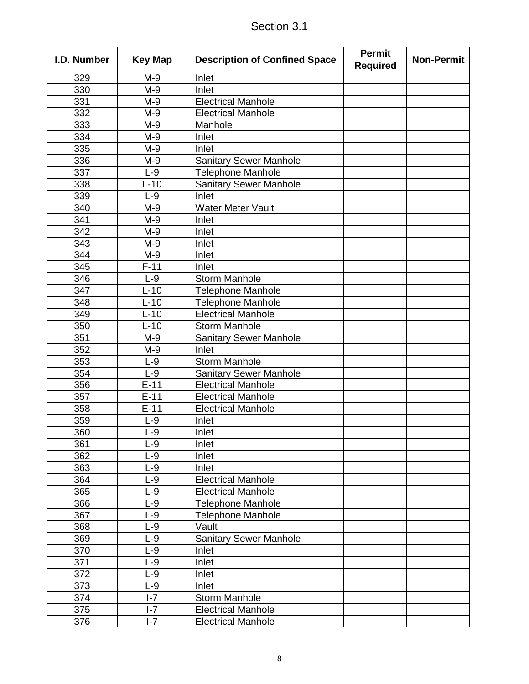| I.D. Number      | <b>Key Map</b> | <b>Description of Confined Space</b> | <b>Permit</b><br><b>Required</b> | <b>Non-Permit</b> |
|------------------|----------------|--------------------------------------|----------------------------------|-------------------|
| 329              | $M-9$          | Inlet                                |                                  |                   |
| $\overline{3}30$ | $M-9$          | Inlet                                |                                  |                   |
| 331              | M-9            | <b>Electrical Manhole</b>            |                                  |                   |
| 332              | M-9            | <b>Electrical Manhole</b>            |                                  |                   |
| 333              | $M-9$          | Manhole                              |                                  |                   |
| 334              | M-9            | Inlet                                |                                  |                   |
| 335              | M-9            | Inlet                                |                                  |                   |
| 336              | M-9            | <b>Sanitary Sewer Manhole</b>        |                                  |                   |
| 337              | $L-9$          | <b>Telephone Manhole</b>             |                                  |                   |
| 338              | $L-10$         | <b>Sanitary Sewer Manhole</b>        |                                  |                   |
| 339              | $L-9$          | Inlet                                |                                  |                   |
| 340              | M-9            | <b>Water Meter Vault</b>             |                                  |                   |
| 341              | M-9            | Inlet                                |                                  |                   |
| 342              | M-9            | Inlet                                |                                  |                   |
| 343              | M-9            | Inlet                                |                                  |                   |
| 344              | M-9            | Inlet                                |                                  |                   |
| 345              | $F-11$         | Inlet                                |                                  |                   |
| 346              | $L-9$          | <b>Storm Manhole</b>                 |                                  |                   |
| 347              | $L-10$         | <b>Telephone Manhole</b>             |                                  |                   |
| 348              | $L-10$         | <b>Telephone Manhole</b>             |                                  |                   |
| 349              | $L-10$         | <b>Electrical Manhole</b>            |                                  |                   |
| 350              | $L-10$         | <b>Storm Manhole</b>                 |                                  |                   |
| 351              | M-9            | <b>Sanitary Sewer Manhole</b>        |                                  |                   |
| 352              | M-9            | Inlet                                |                                  |                   |
| 353              | $L-9$          | <b>Storm Manhole</b>                 |                                  |                   |
| 354              | $L-9$          | <b>Sanitary Sewer Manhole</b>        |                                  |                   |
| 356              | $E-11$         | <b>Electrical Manhole</b>            |                                  |                   |
| 357              | $E-11$         | <b>Electrical Manhole</b>            |                                  |                   |
| 358              | $E-11$         | <b>Electrical Manhole</b>            |                                  |                   |
| 359              | $L-9$          | Inlet                                |                                  |                   |
| 360              | $L-9$          | Inlet                                |                                  |                   |
| 361              | L-9            | Inlet                                |                                  |                   |
| 362              | $L-9$          | Inlet                                |                                  |                   |
| 363              | $L-9$          | Inlet                                |                                  |                   |
| 364              | $L-9$          | <b>Electrical Manhole</b>            |                                  |                   |
| 365              | $L-9$          | <b>Electrical Manhole</b>            |                                  |                   |
| 366              | $L-9$          | <b>Telephone Manhole</b>             |                                  |                   |
| 367              | $L-9$          | <b>Telephone Manhole</b>             |                                  |                   |
| 368              | $L-9$          | Vault                                |                                  |                   |
| 369              | $L-9$          | <b>Sanitary Sewer Manhole</b>        |                                  |                   |
| 370              | $L-9$          | Inlet                                |                                  |                   |
| 371              | $L-9$          | Inlet                                |                                  |                   |
| 372              | $L-9$          | Inlet                                |                                  |                   |
| 373              | $L-9$          | Inlet                                |                                  |                   |
| 374              | $I - 7$        | <b>Storm Manhole</b>                 |                                  |                   |
| 375              | $I - 7$        | <b>Electrical Manhole</b>            |                                  |                   |
| 376              | $I - 7$        | <b>Electrical Manhole</b>            |                                  |                   |

|  | Section 3.1 |  |  |
|--|-------------|--|--|
|--|-------------|--|--|